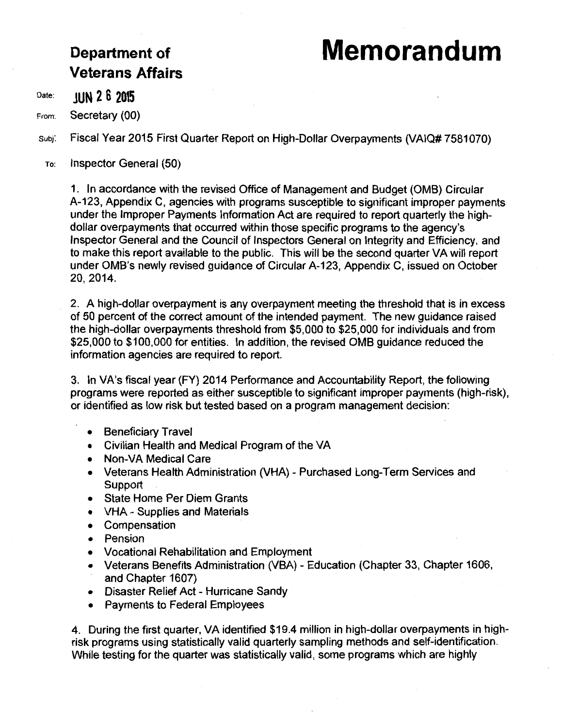## Department of **Memorandum**

# **Veterans Affairs**

Date: **JUN 2 6 2015** 

From: Secretary (00)

subj: Fiscal Year 2015 First Quarter Report on High-Dollar Overpayments (VAIQ# 7581070)

To: Inspector General (50)

1. In accordance with the revised Office of Management and Budget (OMB) Circular A-123, Appendix C, agencies with programs susceptible to significant improper payments under the Improper Payments Information Act are required to report quarterly the highdollar overpayments that occurred within those specific programs to the agency's Inspector General and the Council of Inspectors General on Integrity and Efficiency, and to make this report available to the public. This will be the second quarter VA will report under OMB's newly revised guidance of Circular A-123, Appendix C, issued on October 20, 2014.

2. A high-dollar overpayment is any overpayment meeting the threshold that is in excess of 50 percent of the correct amount of the intended payment. The new guidance raised the high-dollar overpayments threshold from \$5,000 to \$25,000 for individuals and from \$25,000 to \$100,000 for entities. In addition, the revised OMB guidance reduced the information agencies are required to report.

3. In VA's fiscal year (FY) 2014 Performance and Accountability Report, the following programs were reported as either susceptible to significant improper payments (high-risk), or identified as low risk but tested based on a program management decision:

- Beneficiary Travel
- Civilian Health and Medical Program of the VA
- Non-VA Medical Care
- Veterans Health Administration (VHA) Purchased Long-Term Services and Support
- State Home Per Diem Grants
- VHA Supplies and Materials
- Compensation
- Pension
- Vocational Rehabilitation and Employment
- Veterans Benefits Administration (VBA) Education (Chapter 33, Chapter 1606, and Chapter 1607)
- Disaster Relief Act Hurricane Sandy
- Payments to Federal Employees

4. During the first quarter, VA identified \$19.4 million in high-dollar overpayments in highrisk programs using statistically valid quarterly sampling methods and self-identification. While testing for the quarter was statistically valid, some programs which are highly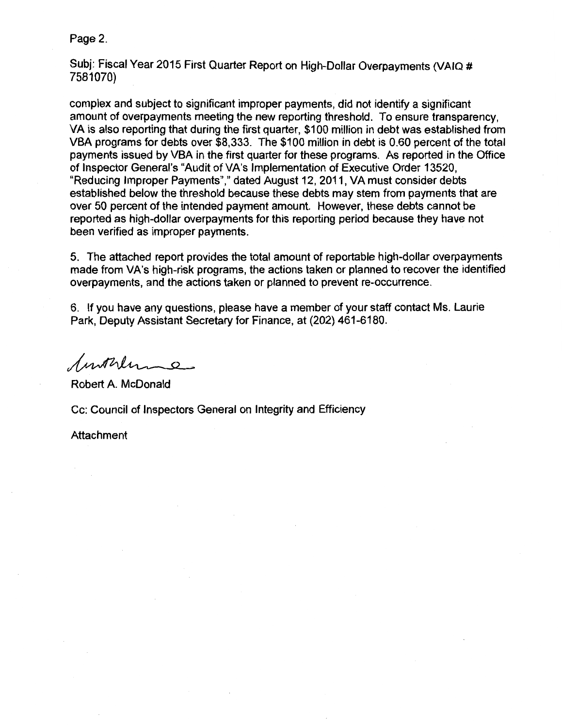Page 2.

Subj: Fiscal Year 2015 First Quarter Report on High-Dollar Overpayments (VAIQ # 7581070)

complex and subject to significant improper payments, did not identify a significant amount of overpayments meeting the new reporting threshold. To ensure transparency, VA is also reporting that during the first quarter, \$100 million in debt was established from VBA programs for debts over \$8,333. The \$100 million in debt is 0.60 percent of the total payments issued by VBA in the first quarter for these programs. As reported in the Office of Inspector General's "Audit of VA's Implementation of Executive Order 13520, "Reducing Improper Payments"," dated August 12, 2011, VA must consider debts established below the threshold because these debts may stem from payments that are over 50 percent of the intended payment amount. However, these debts cannot be reported as high-dollar overpayments for this reporting period because they have not been verified as improper payments.

5. The attached report provides the total amount of reportable high-dollar overpayments made from VA's high-risk programs, the actions taken or planned to recover the identified overpayments, and the actions taken or planned to prevent re-occurrence.

6. If you have any questions, please have a member of your staff contact Ms. Laurie Park, Deputy Assistant Secretary for Finance, at (202) 461-6180.

Suntrly 0

Robert A. McDonald

Cc: Council of Inspectors General on Integrity and Efficiency

Attachment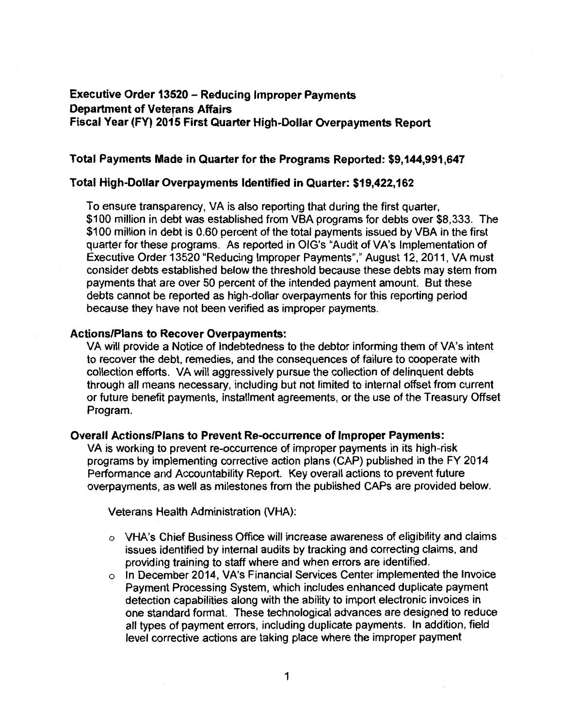### **Executive Order 13520 - Reducing Improper Payments Department of Veterans Affairs Fiscal Year (FY) 2015 First Quarter High-Dollar Overpayments Report**

#### **Total Payments Made in Quarter for the Programs Reported: \$9,144,991,647**

#### **Total High-Dollar Overpayments Identified in Quarter: \$19,422,162**

To ensure transparency, VA is also reporting that during the first quarter, \$100 million in debt was established from VBA programs for debts over \$8,333. The \$100 million in debt is 0.60 percent of the total payments issued by VBA in the first quarter for these programs. As reported in OIG's "Audit of VA's Implementation of Executive Order 13520 "Reducing Improper Payments"," August 12, 2011, VA must consider debts established below the threshold because these debts may stem from payments that are over 50 percent of the intended payment amount. But these debts cannot be reported as high-dollar overpayments for this reporting period because they have not been verified as improper payments.

#### **Actions/Plans to Recover Overpayments:**

VA will provide a Notice of Indebtedness to the debtor informing them of VA's intent to recover the debt, remedies, and the consequences of failure to cooperate with collection efforts. VA will aggressively pursue the collection of delinquent debts through all means necessary, including but not limited to internal offset from current or future benefit payments, installment agreements, or the use of the Treasury Offset Program.

#### **Overall Actions/Plans to Prevent Re-occurrence of Improper Payments:**

VA is working to prevent re-occurrence of improper payments in its high-risk programs by implementing corrective action plans (CAP) published in the FY 2014 Performance and Accountability Report. Key overall actions to prevent future overpayments, as well as milestones from the published CAPs are provided below.

Veterans Health Administration (VHA):

- $\circ$  VHA's Chief Business Office will increase awareness of eligibility and claims issues identified by internal audits by tracking and correcting claims, and providing training to staff where and when errors are identified.
- $\circ$  In December 2014, VA's Financial Services Center implemented the Invoice Payment Processing System, which includes enhanced duplicate payment detection capabilities along with the ability to import electronic invoices in one standard format. These technological advances are designed to reduce all types of payment errors, including duplicate payments. In addition, field level corrective actions are taking place where the improper payment